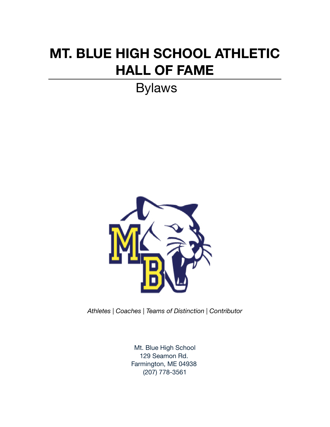# **MT. BLUE HIGH SCHOOL ATHLETIC HALL OF FAME**

Bylaws



*Athletes | Coaches | Teams of Distinction | Contributor*

Mt. Blue High School 129 Seamon Rd. Farmington, ME 04938 (207) 778-3561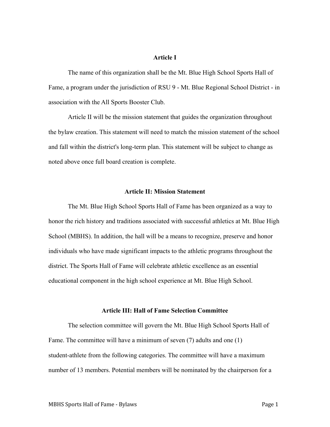# **Article I**

The name of this organization shall be the Mt. Blue High School Sports Hall of Fame, a program under the jurisdiction of RSU 9 - Mt. Blue Regional School District - in association with the All Sports Booster Club.

Article II will be the mission statement that guides the organization throughout the bylaw creation. This statement will need to match the mission statement of the school and fall within the district's long-term plan. This statement will be subject to change as noted above once full board creation is complete.

#### **Article II: Mission Statement**

The Mt. Blue High School Sports Hall of Fame has been organized as a way to honor the rich history and traditions associated with successful athletics at Mt. Blue High School (MBHS). In addition, the hall will be a means to recognize, preserve and honor individuals who have made significant impacts to the athletic programs throughout the district. The Sports Hall of Fame will celebrate athletic excellence as an essential educational component in the high school experience at Mt. Blue High School.

#### **Article III: Hall of Fame Selection Committee**

The selection committee will govern the Mt. Blue High School Sports Hall of Fame. The committee will have a minimum of seven (7) adults and one (1) student-athlete from the following categories. The committee will have a maximum number of 13 members. Potential members will be nominated by the chairperson for a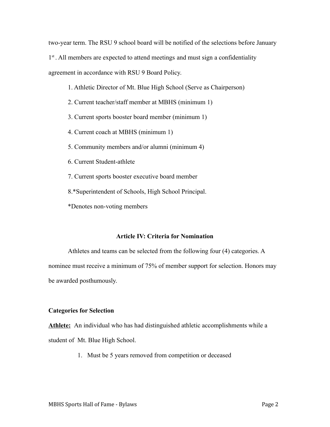two-year term. The RSU 9 school board will be notified of the selections before January

1<sup>st</sup>. All members are expected to attend meetings and must sign a confidentiality

agreement in accordance with RSU 9 Board Policy.

- 1. Athletic Director of Mt. Blue High School (Serve as Chairperson)
- 2. Current teacher/staff member at MBHS (minimum 1)
- 3. Current sports booster board member (minimum 1)
- 4. Current coach at MBHS (minimum 1)
- 5. Community members and/or alumni (minimum 4)
- 6. Current Student-athlete
- 7. Current sports booster executive board member
- 8.\*Superintendent of Schools, High School Principal.
- \*Denotes non-voting members

## **Article IV: Criteria for Nomination**

Athletes and teams can be selected from the following four (4) categories. A nominee must receive a minimum of 75% of member support for selection. Honors may be awarded posthumously.

## **Categories for Selection**

**Athlete:** An individual who has had distinguished athletic accomplishments while a student of Mt. Blue High School.

1. Must be 5 years removed from competition or deceased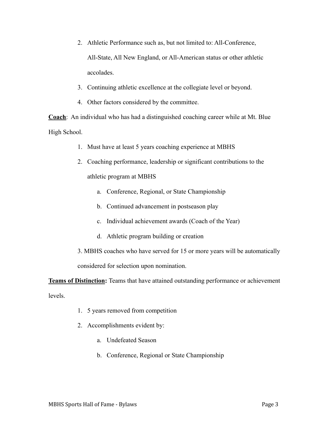- 2. Athletic Performance such as, but not limited to: All-Conference, All-State, All New England, or All-American status or other athletic accolades.
- 3. Continuing athletic excellence at the collegiate level or beyond.
- 4. Other factors considered by the committee.

**Coach**: An individual who has had a distinguished coaching career while at Mt. Blue High School.

- 1. Must have at least 5 years coaching experience at MBHS
- 2. Coaching performance, leadership or significant contributions to the athletic program at MBHS
	- a. Conference, Regional, or State Championship
	- b. Continued advancement in postseason play
	- c. Individual achievement awards (Coach of the Year)
	- d. Athletic program building or creation
- 3. MBHS coaches who have served for 15 or more years will be automatically considered for selection upon nomination.

**Teams of Distinction:** Teams that have attained outstanding performance or achievement levels.

- 1. 5 years removed from competition
- 2. Accomplishments evident by:
	- a. Undefeated Season
	- b. Conference, Regional or State Championship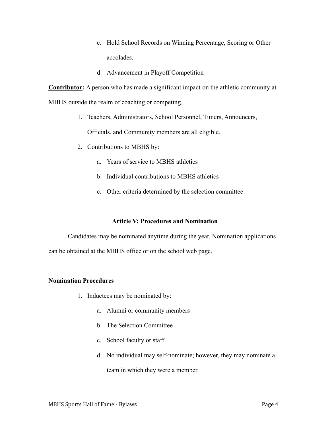- c. Hold School Records on Winning Percentage, Scoring or Other accolades.
- d. Advancement in Playoff Competition

**Contributor:** A person who has made a significant impact on the athletic community at

MBHS outside the realm of coaching or competing.

1. Teachers, Administrators, School Personnel, Timers, Announcers,

Officials, and Community members are all eligible.

- 2. Contributions to MBHS by:
	- a. Years of service to MBHS athletics
	- b. Individual contributions to MBHS athletics
	- c. Other criteria determined by the selection committee

## **Article V: Procedures and Nomination**

Candidates may be nominated anytime during the year. Nomination applications can be obtained at the MBHS office or on the school web page.

## **Nomination Procedures**

- 1. Inductees may be nominated by:
	- a. Alumni or community members
	- b. The Selection Committee
	- c. School faculty or staff
	- d. No individual may self-nominate; however, they may nominate a team in which they were a member.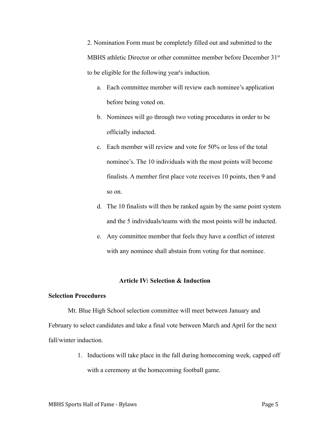2. Nomination Form must be completely filled out and submitted to the MBHS athletic Director or other committee member before December 31<sup>st</sup> to be eligible for the following year's induction.

- a. Each committee member will review each nominee's application before being voted on.
- b. Nominees will go through two voting procedures in order to be officially inducted.
- c. Each member will review and vote for 50% or less of the total nominee's. The 10 individuals with the most points will become finalists. A member first place vote receives 10 points, then 9 and so on.
- d. The 10 finalists will then be ranked again by the same point system and the 5 individuals/teams with the most points will be inducted.
- e. Any committee member that feels they have a conflict of interest with any nominee shall abstain from voting for that nominee.

#### **Article IV: Selection & Induction**

#### **Selection Procedures**

Mt. Blue High School selection committee will meet between January and February to select candidates and take a final vote between March and April for the next fall/winter induction.

> 1. Inductions will take place in the fall during homecoming week, capped off with a ceremony at the homecoming football game.